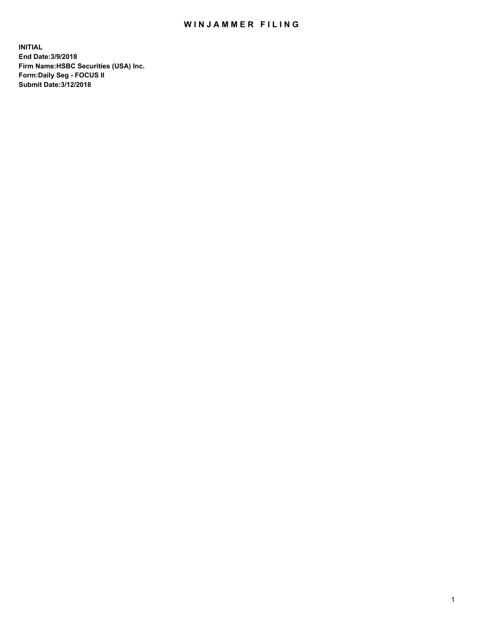## WIN JAMMER FILING

**INITIAL End Date:3/9/2018 Firm Name:HSBC Securities (USA) Inc. Form:Daily Seg - FOCUS II Submit Date:3/12/2018**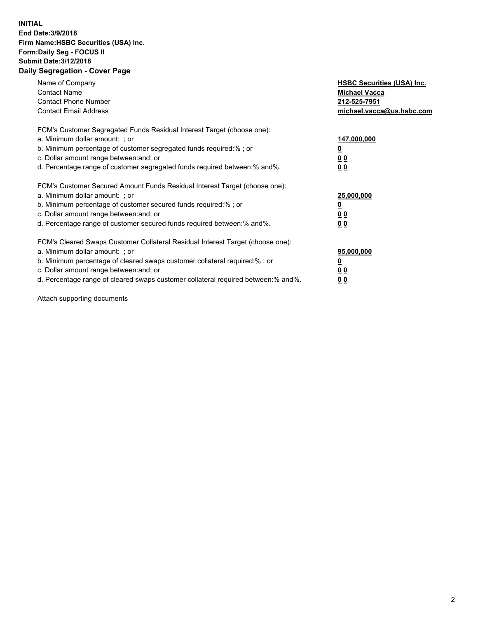## **INITIAL End Date:3/9/2018 Firm Name:HSBC Securities (USA) Inc. Form:Daily Seg - FOCUS II Submit Date:3/12/2018 Daily Segregation - Cover Page**

| Name of Company<br><b>Contact Name</b><br><b>Contact Phone Number</b><br><b>Contact Email Address</b>                                                                                                                                                                                                                          | <b>HSBC Securities (USA) Inc.</b><br><b>Michael Vacca</b><br>212-525-7951<br>michael.vacca@us.hsbc.com |
|--------------------------------------------------------------------------------------------------------------------------------------------------------------------------------------------------------------------------------------------------------------------------------------------------------------------------------|--------------------------------------------------------------------------------------------------------|
| FCM's Customer Segregated Funds Residual Interest Target (choose one):<br>a. Minimum dollar amount: ; or<br>b. Minimum percentage of customer segregated funds required:%; or<br>c. Dollar amount range between: and; or<br>d. Percentage range of customer segregated funds required between:% and%.                          | 147,000,000<br><u>0</u><br><u>00</u><br>0 <sub>0</sub>                                                 |
| FCM's Customer Secured Amount Funds Residual Interest Target (choose one):<br>a. Minimum dollar amount: ; or<br>b. Minimum percentage of customer secured funds required:%; or<br>c. Dollar amount range between: and; or<br>d. Percentage range of customer secured funds required between:% and%.                            | 25,000,000<br><u>0</u><br><u>00</u><br>00                                                              |
| FCM's Cleared Swaps Customer Collateral Residual Interest Target (choose one):<br>a. Minimum dollar amount: ; or<br>b. Minimum percentage of cleared swaps customer collateral required:% ; or<br>c. Dollar amount range between: and; or<br>d. Percentage range of cleared swaps customer collateral required between:% and%. | 95,000,000<br><u>00</u><br>0 <sub>0</sub>                                                              |

Attach supporting documents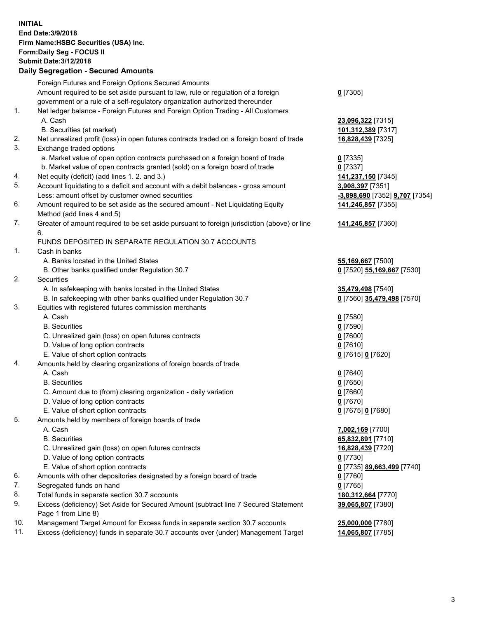**INITIAL End Date:3/9/2018 Firm Name:HSBC Securities (USA) Inc. Form:Daily Seg - FOCUS II Submit Date:3/12/2018 Daily Segregation - Secured Amounts**

Foreign Futures and Foreign Options Secured Amounts Amount required to be set aside pursuant to law, rule or regulation of a foreign government or a rule of a self-regulatory organization authorized thereunder **0** [7305] 1. Net ledger balance - Foreign Futures and Foreign Option Trading - All Customers A. Cash **23,096,322** [7315] B. Securities (at market) **101,312,389** [7317] 2. Net unrealized profit (loss) in open futures contracts traded on a foreign board of trade **16,828,439** [7325] 3. Exchange traded options a. Market value of open option contracts purchased on a foreign board of trade **0** [7335] b. Market value of open contracts granted (sold) on a foreign board of trade **0** [7337] 4. Net equity (deficit) (add lines 1. 2. and 3.) **141,237,150** [7345] 5. Account liquidating to a deficit and account with a debit balances - gross amount **3,908,397** [7351] Less: amount offset by customer owned securities **-3,898,690** [7352] **9,707** [7354] 6. Amount required to be set aside as the secured amount - Net Liquidating Equity Method (add lines 4 and 5) **141,246,857** [7355] 7. Greater of amount required to be set aside pursuant to foreign jurisdiction (above) or line 6. **141,246,857** [7360] FUNDS DEPOSITED IN SEPARATE REGULATION 30.7 ACCOUNTS 1. Cash in banks A. Banks located in the United States **55,169,667** [7500] B. Other banks qualified under Regulation 30.7 **0** [7520] **55,169,667** [7530] 2. Securities A. In safekeeping with banks located in the United States **35,479,498** [7540] B. In safekeeping with other banks qualified under Regulation 30.7 **0** [7560] **35,479,498** [7570] 3. Equities with registered futures commission merchants A. Cash **0** [7580] B. Securities **0** [7590] C. Unrealized gain (loss) on open futures contracts **0** [7600] D. Value of long option contracts **0** [7610] E. Value of short option contracts **0** [7615] **0** [7620] 4. Amounts held by clearing organizations of foreign boards of trade A. Cash **0** [7640] B. Securities **0** [7650] C. Amount due to (from) clearing organization - daily variation **0** [7660] D. Value of long option contracts **0** [7670] E. Value of short option contracts **0** [7675] **0** [7680] 5. Amounts held by members of foreign boards of trade A. Cash **7,002,169** [7700] B. Securities **65,832,891** [7710] C. Unrealized gain (loss) on open futures contracts **16,828,439** [7720] D. Value of long option contracts **0** [7730] E. Value of short option contracts **0** [7735] **89,663,499** [7740] 6. Amounts with other depositories designated by a foreign board of trade **0** [7760] 7. Segregated funds on hand **0** [7765] 8. Total funds in separate section 30.7 accounts **180,312,664** [7770] 9. Excess (deficiency) Set Aside for Secured Amount (subtract line 7 Secured Statement Page 1 from Line 8) **39,065,807** [7380] 10. Management Target Amount for Excess funds in separate section 30.7 accounts **25,000,000** [7780] 11. Excess (deficiency) funds in separate 30.7 accounts over (under) Management Target **14,065,807** [7785]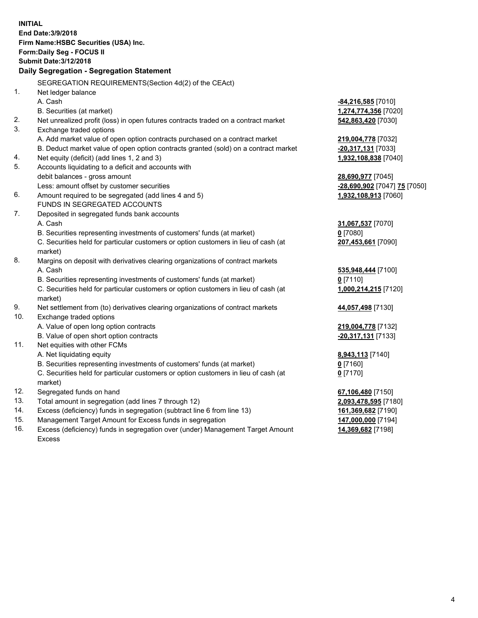| <b>INITIAL</b> | End Date: 3/9/2018<br>Firm Name: HSBC Securities (USA) Inc.<br>Form: Daily Seg - FOCUS II<br><b>Submit Date: 3/12/2018</b><br>Daily Segregation - Segregation Statement |                              |
|----------------|-------------------------------------------------------------------------------------------------------------------------------------------------------------------------|------------------------------|
|                | SEGREGATION REQUIREMENTS(Section 4d(2) of the CEAct)                                                                                                                    |                              |
| 1.             | Net ledger balance                                                                                                                                                      |                              |
|                | A. Cash                                                                                                                                                                 | -84,216,585 [7010]           |
|                | B. Securities (at market)                                                                                                                                               | 1,274,774,356 [7020]         |
| 2.             | Net unrealized profit (loss) in open futures contracts traded on a contract market                                                                                      | 542,863,420 [7030]           |
| 3.             | Exchange traded options                                                                                                                                                 |                              |
|                | A. Add market value of open option contracts purchased on a contract market                                                                                             | 219,004,778 [7032]           |
|                | B. Deduct market value of open option contracts granted (sold) on a contract market                                                                                     | -20,317,131 [7033]           |
| 4.             | Net equity (deficit) (add lines 1, 2 and 3)                                                                                                                             | 1,932,108,838 [7040]         |
| 5.             | Accounts liquidating to a deficit and accounts with                                                                                                                     |                              |
|                | debit balances - gross amount                                                                                                                                           | 28,690,977 [7045]            |
|                | Less: amount offset by customer securities                                                                                                                              | -28,690,902 [7047] 75 [7050] |
| 6.             | Amount required to be segregated (add lines 4 and 5)                                                                                                                    | 1,932,108,913 [7060]         |
|                | FUNDS IN SEGREGATED ACCOUNTS                                                                                                                                            |                              |
| 7.             | Deposited in segregated funds bank accounts                                                                                                                             |                              |
|                | A. Cash                                                                                                                                                                 | 31,067,537 [7070]            |
|                | B. Securities representing investments of customers' funds (at market)                                                                                                  | $0$ [7080]                   |
|                | C. Securities held for particular customers or option customers in lieu of cash (at<br>market)                                                                          | 207,453,661 [7090]           |
| 8.             | Margins on deposit with derivatives clearing organizations of contract markets                                                                                          |                              |
|                | A. Cash                                                                                                                                                                 | 535,948,444 [7100]           |
|                | B. Securities representing investments of customers' funds (at market)                                                                                                  | $0$ [7110]                   |
|                | C. Securities held for particular customers or option customers in lieu of cash (at<br>market)                                                                          | 1,000,214,215 [7120]         |
| 9.             | Net settlement from (to) derivatives clearing organizations of contract markets                                                                                         | 44,057,498 [7130]            |
| 10.            | Exchange traded options                                                                                                                                                 |                              |
|                | A. Value of open long option contracts                                                                                                                                  | 219,004,778 [7132]           |
|                | B. Value of open short option contracts                                                                                                                                 | -20,317,131 [7133]           |
| 11.            | Net equities with other FCMs                                                                                                                                            |                              |
|                | A. Net liquidating equity                                                                                                                                               | 8,943,113 [7140]             |
|                | B. Securities representing investments of customers' funds (at market)                                                                                                  | 0 [7160]                     |
|                | C. Securities held for particular customers or option customers in lieu of cash (at                                                                                     | $0$ [7170]                   |
|                | market)                                                                                                                                                                 |                              |
| 12.            | Segregated funds on hand                                                                                                                                                | 67,106,480 [7150]            |
| 13.            | Total amount in segregation (add lines 7 through 12)                                                                                                                    | 2,093,478,595 [7180]         |
| 14.            | Excess (deficiency) funds in segregation (subtract line 6 from line 13)                                                                                                 | 161,369,682 [7190]           |
| 15.            | Management Target Amount for Excess funds in segregation                                                                                                                | 147,000,000 [7194]           |

16. Excess (deficiency) funds in segregation over (under) Management Target Amount Excess

**14,369,682** [7198]